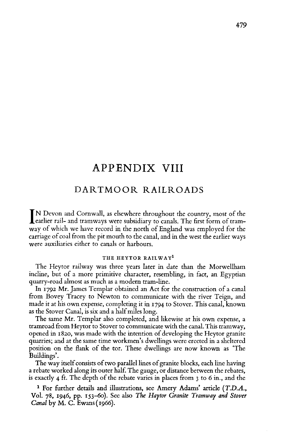The way itself consists of two parallel lines of granite blocks, each line having a rebate worked along its outer half. The gauge, or distance between the rebates, is exactly 4 ft. The depth of the rebate varies in places from  $3$  to 6 in., and the

# APPENDIX VIII

## DARTMOOR RAILROADS

Learlier rail- and tramways were subsidiary to canals. The first form of tram-<br>way of which we have record in the north of England was employed for the IN Devon and Cornwall, as elsewhere throughout the country, most of the way of which we have record in the north of England was employed for the carriage of coal from the pit mouth to the canal, and in the west the earlier ways were auxiliaries either to canals or harbours.

In 1792 Mr. James Templar obtained an Act for the construction of a canal from Bovey Tracey to Newton to communicate with the river Teign, and made it at his own expense, completing it in 1794 to Stover. This canal, known as the Stover Canal, is six and a half miles long.

#### **THE HEYTOR RAILWAY1**

The Heytor railway was three years later in date than the Morwellham incline, but of a more primitive character, resembling, in fact, an Egyptian quarry-road almost as much as a modem tram-line.

The same Mr. Templar also completed, and likewise at his own expense, a tramroad from Heytor to Stover to communicate with the canal. This tramway, opened in 1820, was made with the intention of developing the Heytor granite quarries; and at the same time workmen's dwellings were erected in a sheltered position on the flank of the tor. These dwellings are now known as 'The Buildings'.

<sup>1</sup> For further details and illustrations, see Amery Adams' article *(T.D.A.,* Vol. 78, 1946, pp. 153-60). See also *The Haytor Granite Tramway and Stover Canal* by M. C. Ewans(1966).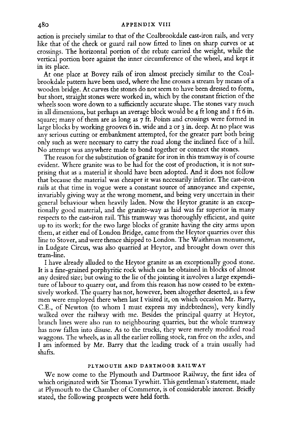action is precisely similar to that of the Coalbrookdale cast-iron rails, and very like that of the check or guard rail now fitted to lines on sharp curves or at crossings. The horizontal portion of the rebate carried the weight, while the vertical portion bore against the inner circumference of the wheel, and kept it in its place.

At one place at Bovey rails of iron almost precisely similar to the Coalbrookdale pattern have been used, where the line crosses a stream by means of a wooden bridge. At curves the stones do not seem to have been dressed to form, but short, straight stones were worked in, which by the constant friction of the wheels soon wore down to a sufficiently accurate shape. The stones vary much in all dimensions, but perhaps an average block would be 4 ft long and <sup>1</sup> ft 6 in. square; many of them are as long as 7 ft. Points and crossings were formed in large blocks by working grooves 6 in. wide and 2 or <sup>3</sup> in. deep. At no place was any serious cutting or embankment attempted, for the greater part both being only such as were necessary to carry the road along the inclined face of a hill. No attempt was anywhere made to bond together or connect the stones.

The reason for the substitution of granite for iron in this tramway is of course evident. Where granite was to be had for the cost of production, it is not surprising that as a material it should have been adopted. And it does not follow that because the material was cheaper it was necessarily inferior. The cast-iron rails at that time in vogue were a constant source of annoyance and expense, invariably giving way at the wrong moment, and being very uncertain in their general behaviour when heavily laden. Now the Heytor granite is an exceptionally good material, and the granite-way as laid was far superior in many respects to the cast-iron rail. This tramway was thoroughly efficient, and quite up to its work; for the two large blocks of granite having the city arms upon them, at either end of London Bridge, came from the Heytor quarries over this line to Stover, andwere thence shipped to London. The Waithman monument, in Ludgate Circus, was also quarried at Heytor, and brought down over this tram-line.

I have already alluded to the Heytor granite as an exceptionally good stone. It is a fine-grained porphyritic rock which can be obtained in blocks of almost any desired size; but owing to the lie of the jointing it involves a large expenditure of labour to quarry out, and from this reason has now ceased to be extensively worked. The quarry has not, however, been altogether deserted, as a few men were employed there when last I visited it, on which occasion Mr. Barry, C.E., of Newton (to whom <sup>I</sup> must express my indebtedness), very kindly walked over the railway with me. Besides the principal quarry at Heytor, branch lines were also run to neighbouring quarries, but the whole tramway has now fallen into disuse. As to the trucks, they were merely modified road waggons. The wheels, as in all the earlier rolling stock, ran free on the axles, and I am informed by Mr. Barry that the leading truck of a train usually had shafts.

#### **PLYMOUTH AND DARTMOOR RAILWAY**

We now come to the Plymouth and Dartmoor Railway, the first idea of which originated with Sir Thomas Tyrwhitt. This gentleman's statement, made at Plymouth to the Chamber of Commerce, is of considerable interest. Briefly stated, the following prospects were held forth.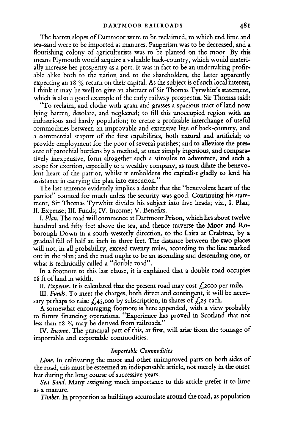The barren slopes of Dartmoor were to be reclaimed, to which end lime and sea-sand were to be imported as manures. Pauperism was to be decreased, and a flourishing colony of agriculturists was to be planted on the moor. By this means Plymouth would acquire a valuable back-country, which would materially increase her prosperity as a port. It was in fact to be an undertaking profitable alike both to the nation and to the shareholders, the latter apparently expecting an  $18\%$  return on their capital. As the subject is of such local interest, I think it may be well to give an abstract of Sir Thomas Tyrwhitt'<sup>s</sup> statement, which is also a good example of the early railway prospectus. Sir Thomas said:

"To reclaim, and clothe with grain and grasses a spacious tract of land now lying barren, desolate, and neglected; to fill this unoccupied region with an industrious and hardy population; to create a profitable interchange of useful commodities between an improvable and extensive line of back-country, and a commercial seaport of the first capabilities, both natural and artificial; **to** provide employment for the poor of several parishes; and to alleviate the pressure of parochial burdens by a method, at once simply ingenious, and comparatively inexpensive, form altogether such a stimulus to adventure, and such a scope for exertion, especially to a wealthy company, as must dilate the benevolent heart of the patriot, whilst it emboldens the capitalist gladly to lend his assistance in carrying the plan into execution."

The last sentence evidently implies a doubt that the "benevolent heart of the patriot" counted for much unless the security was good. Continuing his statement, Sir Thomas Tyrwhitt divides his subject into five heads; viz., I. Plan; II. Expense; III. Funds; IV. Income; V. Benefits.

III. *Funds.* To meet the charges, both direct and contingent, it will be necessary perhaps to raise  $\mathcal{L}_4$ 5,000 by subscription, in shares of  $\mathcal{L}_2$ 5 each.

IV. Income. The principal part of this, at first, will arise from the tonnage of importable and exportable commodities.

*Lime.* In cultivating the moor and other unimproved parts on both sides of the road, this must be esteemed an indispensable article, not merely in the onset but during the long course of successive years.

I. *Plan.* The road will commence at Dartmoor Prison, which lies about twelve hundred and fifty feet above the sea, and thence traverse the Moor and Roborough Down in a south-westerly direction, to the Laira at Crabtree, by a gradual fall of half an inch in three feet. The distance between the two places will not, in all probability, exceed twenty miles, according to the line marked out in the plan; and the road ought to be an ascending and descending one, or what is technically called a "double road".

In a footnote to this last clause, it is explained that a double road occupies <sup>18</sup> ft ofland in width.

II. *Expense*. It is calculated that the present road may cost  $\oint$  2000 per mile.

A somewhat encouraging footnote is here appended, with a view probably to future financing operations. "Experience has proved in Scotland that not less than 18 % may be derived from railroads."

### *Importable Commodities*

*Sea Sand.* Many assigning much importance to this article prefer it to lime as a manure.

*Timber.* In proportion as buildings accumulate around the road, as population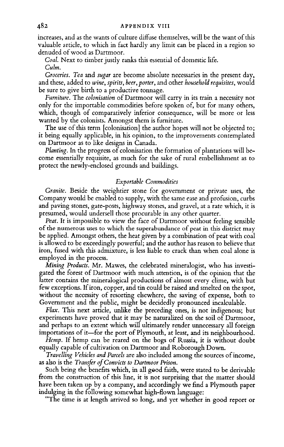increases, and as the wants of culture diffuse themselves, will be the want of this valuable article, to which in fact hardly any limit can be placed in a region so denuded of wood as Dartmoor.

Coal. Next to timber justly ranks this essential of domestic life. *Culm.*

*Furniture.* The *colonisation* of Dartmoor will carry in its train a necessity not only for the importable commodities before spoken of, but for many others, which, though of comparatively inferior consequence, will be more or less wanted by the colonists. Amongst them is furniture.

*Groceries. Tea* and *sugar* are become absolute necessaries in the present day, and these, added to *wine, spirits, beer, porter,* and other *household requisites,* would be sure to give birth to a productive tonnage.

The use of this term [colonisation] the author hopes will not be objected to; it being equally applicable, in his opinion, to the improvements contemplated on Dartmoor as to like designs in Canada.

*Planting*. In the progress of colonisation the formation of plantations will become essentially requisite, as much for the sake of rural embellishment as to protect the newly-enclosed grounds and buildings.

*Flax.* This next article, unlike the preceding ones, is not indigenous; but experiments have proved that it may be naturalized on the soil of Dartmoor, and perhaps to an extent which will ultimately render unnecessary all foreign importations of it—for the port of Plymouth, at least, and its neighbourhood.

## *Exportable Commodities*

*Granite.* Beside the weightier stone for government or private uses, the Company would be enabled to supply, with the same ease and profusion, curbs and paving stones, gate-posts, highway stones, and gravel, at a rate which, it is presumed, would undersell those procurable in any other quarter.

*Peat.* It is impossible to view the face of Dartmoor without feeling sensible of the numerous uses to which the superabundance of peat in this district may be applied. Amongst others, the heat given by a combination of peat with coal is allowed to be exceedingly powerful; and the author has reason to believe that iron, fused with this admixture, is less liable to crack than when coal alone is employed in the process.

*Mining Products.* Mr. Mawes, the celebrated mineralogist, who has investigated the forest of Dartmoor with much attention, is of the opinion that the latter contains the mineralogical productions of almost every clime, with but few exceptions. If iron, copper, and tin could be raised and smelted on the spot, without the necessity of resorting elsewhere, the saving of expense, both to Government and the public, might be decidedly pronounced incalculable.

*Hemp.* If hemp can be reared on the bogs of Russia, it is without doubt equally capable of cultivation on Dartmoor and Roborough Down.

*Travelling Vehicles and Parcels* are also included among the sources ofincome, as also is the *Transfer ofConvicts to Dartmoor Prison.*

Such being the benefits which, in all good faith, were stated to be derivable from the construction of this line, it is not surprising that the matter should have been taken up by a company, and accordingly we find a Plymouth paper indulging in the following somewhat high-flown language:

"The time is at length arrived so long, and yet whether in good report or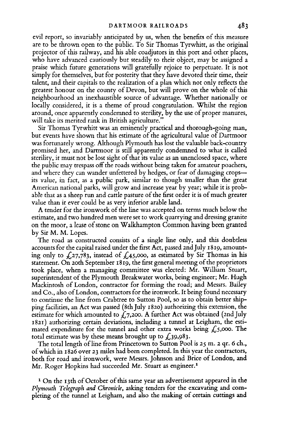evil report, so invariably anticipated by us, when the benefits of this measure are to be thrown open to the public. To Sir Thomas Tyrwhitt, as the original projector of this railway, and his able coadjutors in this port and other places, who have advanced cautiously but steadily to their object, may be assigned a praise which future generations will gratefully rejoice to perpetuate. It is not simply for themselves, but for posterity that they have devoted their time, their talent, and their capitals to the realization of a plan which not only reflects the greatest honour on the county of Devon, but will prove on the whole of this neighbourhood an inexhaustible source of advantage. Whether nationally or locally considered, it is a theme of proud congratulation. Whilst the region around, once apparently condemned to sterility, by the use of proper manures, will take its merited rank in British agriculture.'

A tender for the ironwork of the line was accepted on terms much below the estimate, and two hundred men were set to work quarrying and dressing granite on the moor, a lease of stone on Walkhampton Common having been granted by Sir M. M. Lopes.

The road as constructed consists of a single line only, and this doubtless accounts for the capital raised under the first Act, passed 2ndJuly 1819, amounting only to  $\&27,783$ , instead of  $\&45,000$ , as estimated by Sir Thomas in his statement. On 20th September 1819, the first general meeting of the proprietors took place, when a managing committee Was elected: Mr. William Stuart, superintendent of the Plymouth Breakwater works, being engineer; Mr. Hugh Mackintosh of London, contractor for forming the road; and Messrs. Bailey and Co., also of London, contractors for the ironwork. It being found necessary to continue the line from Crabtree to Sutton Pool, so as to obtain better shipping facilities, an Act was passed (8thJuly 1820) authorizing this extension, the estimate for which amounted to  $\mathcal{L}$ 7,200. A further Act was obtained (2nd July 1821) authorizing certain deviations, including a tunnel at Leigham, the estimated expenditure for the tunnel and other extra works being  $\zeta$ 5,000. The total estimate was by these means brought up to  $\mathcal{L}$ 39,983.

The total length of line from Princetown to Sutton Pool is 25 m. 2 qr. 6 ch., ofwhich in 1826 over 23 miles had been completed. In this year the contractors, both for road and ironwork, were Messrs. Johnson and Brice of London, and Mr. Roger Hopkins had succeeded Mr. Stuart as engineer.<sup>[1](#page-4-0)</sup>

<span id="page-4-0"></span><sup>1</sup> On the 13th of October of this same year an advertisement appeared in the *Plymouth Telegraph and Chronicle,* asking tenders for the excavating and completing of the tunnel at Leigham, and also the making of certain cuttings and

Sir Thomas Tyrwhitt was an eminently practical and thorough-going man, but events have shown that his estimate of the agricultural value of Dartmoor was fortunately wrong. Although Plymouth has lost the valuable back-country promised her, and Dartmoor is still apparently condemned to what is called sterility, it must not be lost sight of that its value as an unenclosed space, where the public may trespass off the roads without being taken for amateur poachers, and where they can wander unfettered by hedges, or fear of damaging crops its value, in fact, as a public park, similar to though smaller than the great American national parks, will grow and increase year by year; while it is probable that as a sheep run and cattle pasture of the first order it is of much greater value than it ever could be as very inferior arable land.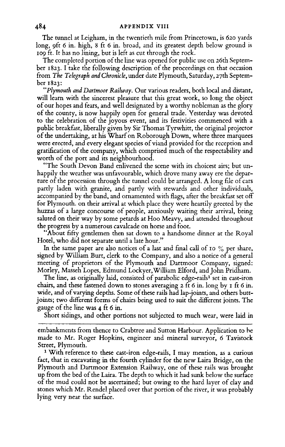The tunnel at Leigham, in the twentieth mile from Princetown, is 620 yards long, 9ft 6 in. high, 8 ft 6 in. broad, and its greatest depth below ground is 109 ft. It has no lining, but is left as cut through the rock.

The completed portion of the line was opened for public use on 26th September 1823. I take the following description of the proceedings on that occasion from *The Telegraph and Chronicle,* under date Plymouth, Saturday, 27th September 1823:

*"Plymouth and Dartmoor Railway.* Our various readers, both local and distant, will learn with the sincerest pleasure that this great work, so long the object of our hopes and fears, and well designated by a worthy nobleman as the glory of the county, is now happily open for general trade. Yesterday was devoted to the celebration of the joyous event, and its festivities commenced with a public breakfast, liberally given by Sir Thomas Tyrwhitt, the original projector of the undertaking, at his Wharf on Roborough Down, where three marquees were erected, and every elegant species of viand provided for the reception and gratification of the company, which comprised much of the respectability and worth of the port and its neighbourhood.

"The South Devon Band enlivened the scene with its choicest airs; but unhappily the weather was unfavourable, which drove many away ere the departure of the procession through the tunnel could be arranged. A long file of cars partly laden with granite, and partly with stewards and other individuals, accompanied by the band, and ornamented with flags, after the breakfast set off for Plymouth, on their arrival at which place they were heartily greeted by the huzzas of a large concourse of people, anxiously waiting their arrival, being saluted on their way by some petards at Hoo Meavy, and attended throughout the progress by a numerous cavalcade on horse and foot.

"About fifty gentlemen then sat down to a handsome dinner at the Royal Hotel, who did not separate until a late hour."

In the same paper are also notices of a last and final call of 10 % per share, signed by William Burt, clerk to the Company, and also a notice of a general meeting of proprietors of the Plymouth and Dartmoor Company, signed: Morley, Masseh Lopes, Edmund Lockyer,William Elford, and John Pridham.

The line, as originally laid, consisted of parabolic edge-rails<sup>[1](#page-5-0)</sup> set in cast-iron chairs, and these fastened down to stones averaging 2 ft 6 in. long by <sup>1</sup> ft 6 in. wide, and of varying depths. Some of these rails had lap-joints, and others buttjoints; two different forms of chairs being used to suit the different joints. The gauge of the line was 4 ft 6 in.

embankments from thence to Crabtree and Sutton Harbour. Application to be made to Mr. Roger Hopkins, engineer and mineral surveyor, 6 Tavistock Street, Plymouth.

<span id="page-5-0"></span><sup>1</sup> With reference to these cast-iron edge-rails, I may mention, as a curious fact, that in excavating in the fourth cylinder for the new Laira Bridge, on the Plymouth and Dartmoor Extension Railway, one of these rails was brought up from the bed of the Laira. The depth to which it had sunk below the surface of the mud could not be ascertained; but owing to the hard layer of clay and stones which Mr. Rendel placed over that portion of the river, it was probably lying very near the surface.

Short sidings, and other portions not subjected to much wear, were laid in